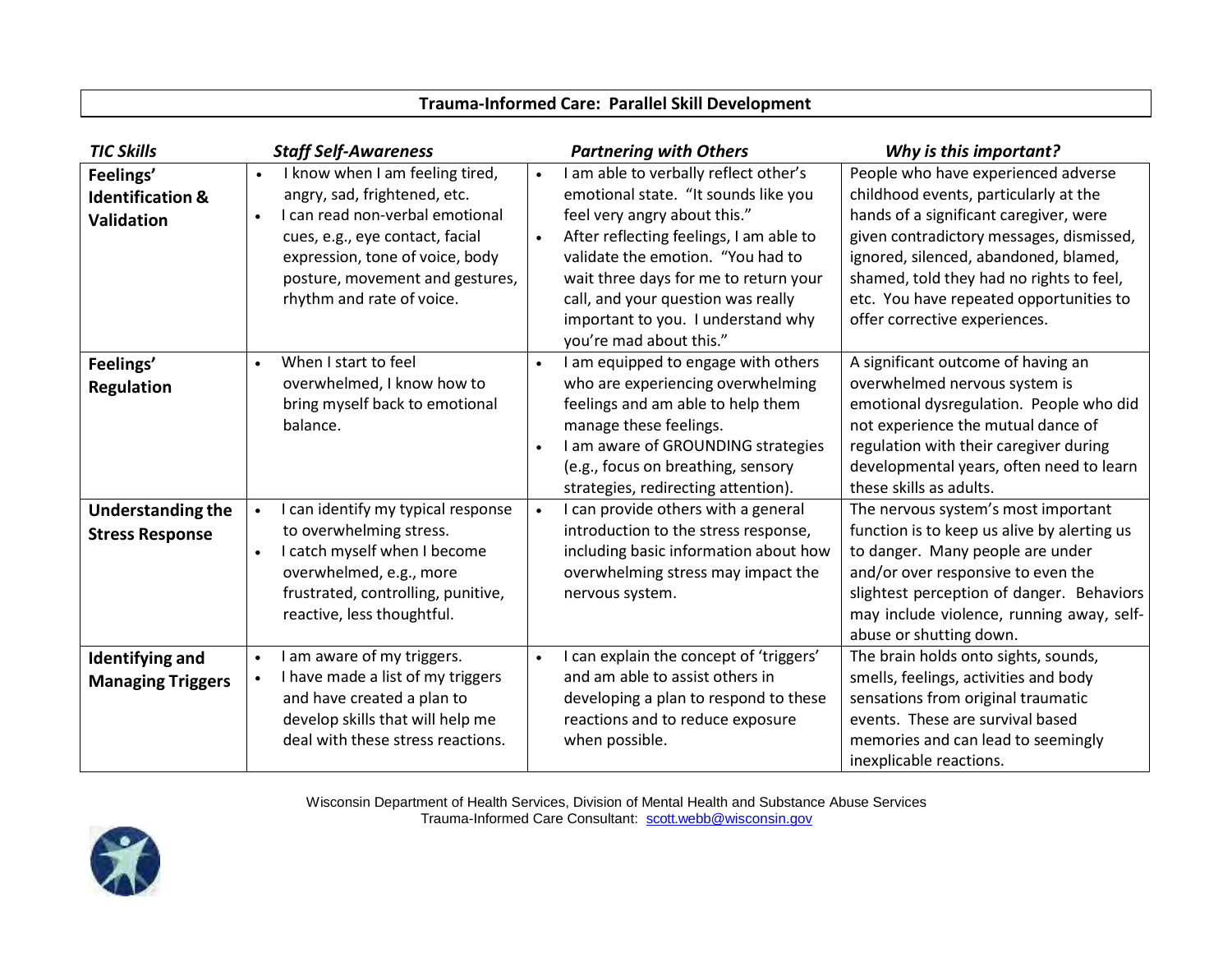| <b>TIC Skills</b>                                      | <b>Staff Self-Awareness</b>                                                                                                                                                                                                                                        | <b>Partnering with Others</b>                                                                                                                                                                                                                                                                                                                                           | Why is this important?                                                                                                                                                                                                                                                                                                              |
|--------------------------------------------------------|--------------------------------------------------------------------------------------------------------------------------------------------------------------------------------------------------------------------------------------------------------------------|-------------------------------------------------------------------------------------------------------------------------------------------------------------------------------------------------------------------------------------------------------------------------------------------------------------------------------------------------------------------------|-------------------------------------------------------------------------------------------------------------------------------------------------------------------------------------------------------------------------------------------------------------------------------------------------------------------------------------|
| Feelings'<br><b>Identification &amp;</b><br>Validation | I know when I am feeling tired,<br>$\bullet$<br>angry, sad, frightened, etc.<br>I can read non-verbal emotional<br>$\bullet$<br>cues, e.g., eye contact, facial<br>expression, tone of voice, body<br>posture, movement and gestures,<br>rhythm and rate of voice. | I am able to verbally reflect other's<br>$\bullet$<br>emotional state. "It sounds like you<br>feel very angry about this."<br>After reflecting feelings, I am able to<br>$\bullet$<br>validate the emotion. "You had to<br>wait three days for me to return your<br>call, and your question was really<br>important to you. I understand why<br>you're mad about this." | People who have experienced adverse<br>childhood events, particularly at the<br>hands of a significant caregiver, were<br>given contradictory messages, dismissed,<br>ignored, silenced, abandoned, blamed,<br>shamed, told they had no rights to feel,<br>etc. You have repeated opportunities to<br>offer corrective experiences. |
| Feelings'<br>Regulation                                | When I start to feel<br>$\bullet$<br>overwhelmed, I know how to<br>bring myself back to emotional<br>balance.                                                                                                                                                      | I am equipped to engage with others<br>$\bullet$<br>who are experiencing overwhelming<br>feelings and am able to help them<br>manage these feelings.<br>I am aware of GROUNDING strategies<br>(e.g., focus on breathing, sensory<br>strategies, redirecting attention).                                                                                                 | A significant outcome of having an<br>overwhelmed nervous system is<br>emotional dysregulation. People who did<br>not experience the mutual dance of<br>regulation with their caregiver during<br>developmental years, often need to learn<br>these skills as adults.                                                               |
| <b>Understanding the</b><br><b>Stress Response</b>     | I can identify my typical response<br>$\bullet$<br>to overwhelming stress.<br>I catch myself when I become<br>$\bullet$<br>overwhelmed, e.g., more<br>frustrated, controlling, punitive,<br>reactive, less thoughtful.                                             | I can provide others with a general<br>$\bullet$<br>introduction to the stress response,<br>including basic information about how<br>overwhelming stress may impact the<br>nervous system.                                                                                                                                                                              | The nervous system's most important<br>function is to keep us alive by alerting us<br>to danger. Many people are under<br>and/or over responsive to even the<br>slightest perception of danger. Behaviors<br>may include violence, running away, self-<br>abuse or shutting down.                                                   |
| <b>Identifying and</b><br><b>Managing Triggers</b>     | am aware of my triggers.<br>$\bullet$<br>I have made a list of my triggers<br>$\bullet$<br>and have created a plan to<br>develop skills that will help me<br>deal with these stress reactions.                                                                     | I can explain the concept of 'triggers'<br>$\bullet$<br>and am able to assist others in<br>developing a plan to respond to these<br>reactions and to reduce exposure<br>when possible.                                                                                                                                                                                  | The brain holds onto sights, sounds,<br>smells, feelings, activities and body<br>sensations from original traumatic<br>events. These are survival based<br>memories and can lead to seemingly<br>inexplicable reactions.                                                                                                            |

**Trauma-Informed Care: Parallel Skill Development**

Wisconsin Department of Health Services, Division of Mental Health and Substance Abuse Services Trauma-Informed Care Consultant: [scott.webb@wisconsin.gov](mailto:scott.webb@wisconsin.gov)

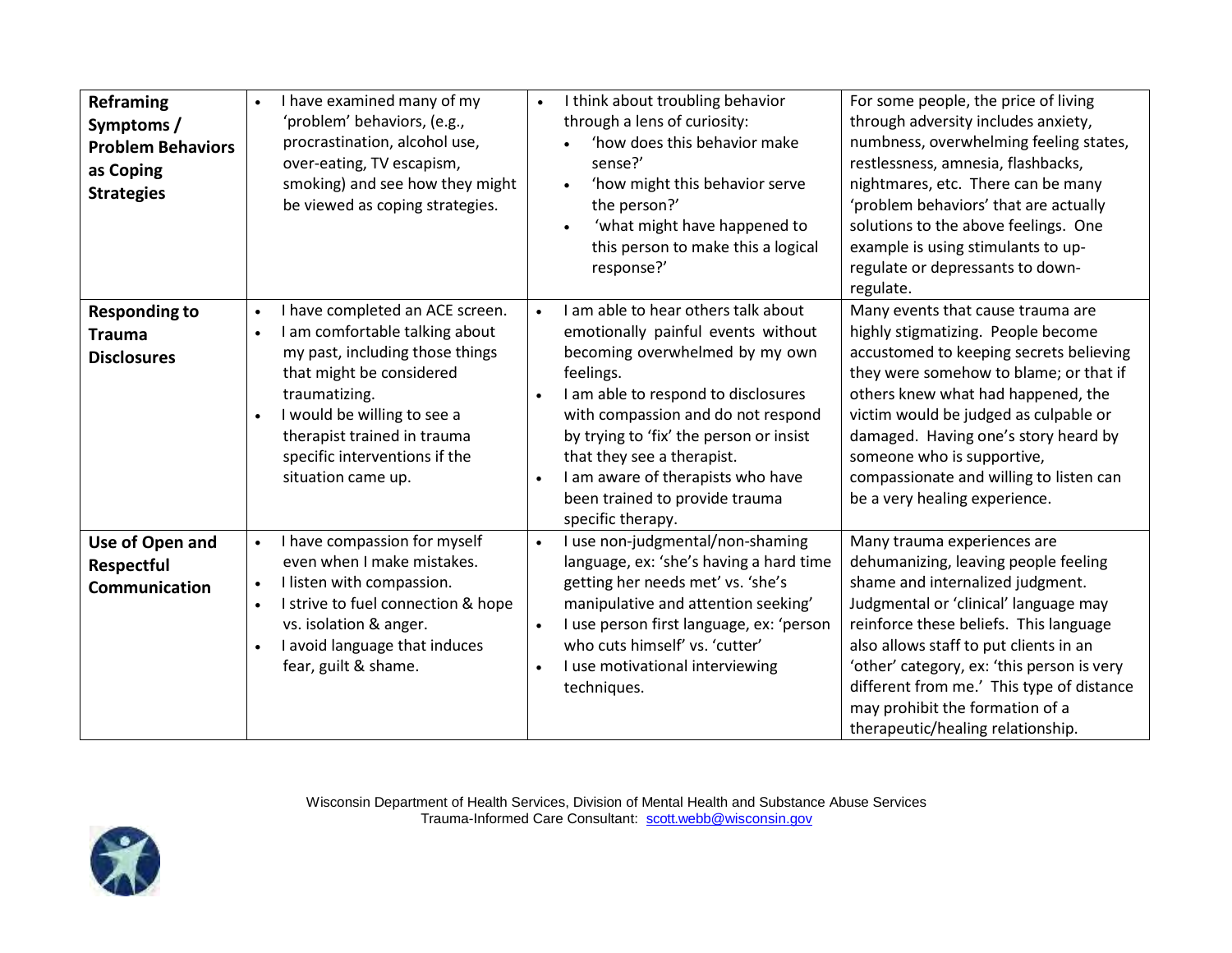| Reframing<br>Symptoms /<br><b>Problem Behaviors</b><br>as Coping<br><b>Strategies</b> | I have examined many of my<br>$\bullet$<br>'problem' behaviors, (e.g.,<br>procrastination, alcohol use,<br>over-eating, TV escapism,<br>smoking) and see how they might<br>be viewed as coping strategies.                                                                                                    | I think about troubling behavior<br>$\bullet$<br>through a lens of curiosity:<br>'how does this behavior make<br>sense?'<br>'how might this behavior serve<br>the person?'<br>'what might have happened to<br>this person to make this a logical<br>response?'                                                                                                                                       | For some people, the price of living<br>through adversity includes anxiety,<br>numbness, overwhelming feeling states,<br>restlessness, amnesia, flashbacks,<br>nightmares, etc. There can be many<br>'problem behaviors' that are actually<br>solutions to the above feelings. One<br>example is using stimulants to up-<br>regulate or depressants to down-<br>regulate.                               |
|---------------------------------------------------------------------------------------|---------------------------------------------------------------------------------------------------------------------------------------------------------------------------------------------------------------------------------------------------------------------------------------------------------------|------------------------------------------------------------------------------------------------------------------------------------------------------------------------------------------------------------------------------------------------------------------------------------------------------------------------------------------------------------------------------------------------------|---------------------------------------------------------------------------------------------------------------------------------------------------------------------------------------------------------------------------------------------------------------------------------------------------------------------------------------------------------------------------------------------------------|
| <b>Responding to</b><br><b>Trauma</b><br><b>Disclosures</b>                           | I have completed an ACE screen.<br>$\bullet$<br>I am comfortable talking about<br>$\bullet$<br>my past, including those things<br>that might be considered<br>traumatizing.<br>I would be willing to see a<br>$\bullet$<br>therapist trained in trauma<br>specific interventions if the<br>situation came up. | I am able to hear others talk about<br>$\bullet$<br>emotionally painful events without<br>becoming overwhelmed by my own<br>feelings.<br>I am able to respond to disclosures<br>with compassion and do not respond<br>by trying to 'fix' the person or insist<br>that they see a therapist.<br>I am aware of therapists who have<br>$\bullet$<br>been trained to provide trauma<br>specific therapy. | Many events that cause trauma are<br>highly stigmatizing. People become<br>accustomed to keeping secrets believing<br>they were somehow to blame; or that if<br>others knew what had happened, the<br>victim would be judged as culpable or<br>damaged. Having one's story heard by<br>someone who is supportive,<br>compassionate and willing to listen can<br>be a very healing experience.           |
| Use of Open and<br>Respectful<br>Communication                                        | I have compassion for myself<br>$\bullet$<br>even when I make mistakes.<br>I listen with compassion.<br>$\bullet$<br>I strive to fuel connection & hope<br>$\bullet$<br>vs. isolation & anger.<br>I avoid language that induces<br>$\bullet$<br>fear, guilt & shame.                                          | I use non-judgmental/non-shaming<br>$\bullet$<br>language, ex: 'she's having a hard time<br>getting her needs met' vs. 'she's<br>manipulative and attention seeking'<br>I use person first language, ex: 'person<br>$\bullet$<br>who cuts himself' vs. 'cutter'<br>I use motivational interviewing<br>$\bullet$<br>techniques.                                                                       | Many trauma experiences are<br>dehumanizing, leaving people feeling<br>shame and internalized judgment.<br>Judgmental or 'clinical' language may<br>reinforce these beliefs. This language<br>also allows staff to put clients in an<br>'other' category, ex: 'this person is very<br>different from me.' This type of distance<br>may prohibit the formation of a<br>therapeutic/healing relationship. |

Wisconsin Department of Health Services, Division of Mental Health and Substance Abuse Services Trauma-Informed Care Consultant: [scott.webb@wisconsin.gov](mailto:scott.webb@wisconsin.gov)